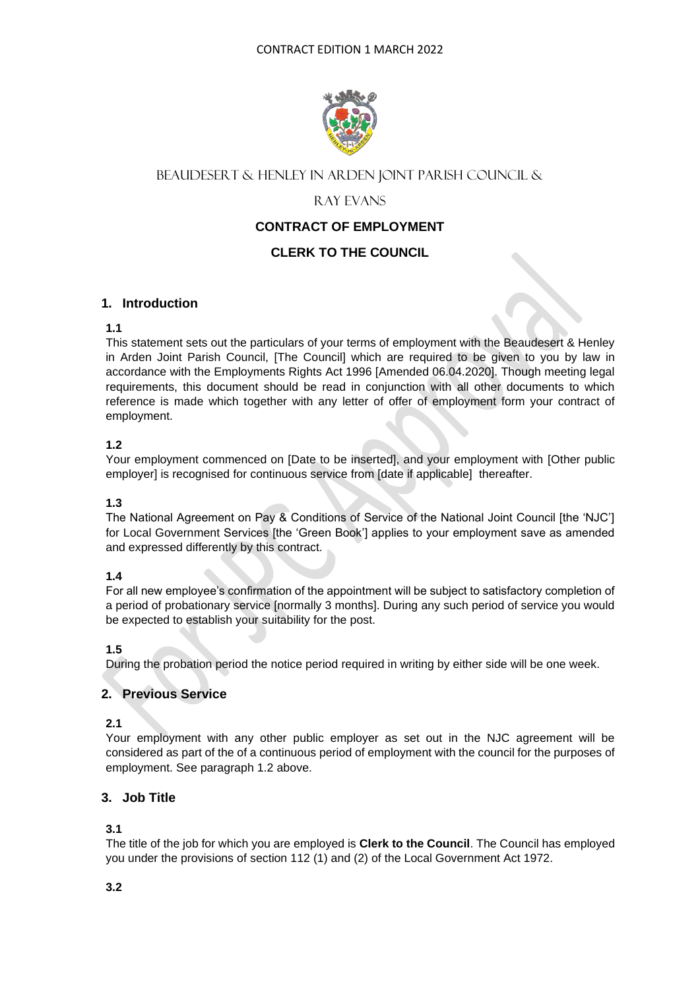

# BEAUDESERT & HENLEY IN ARDEN JOINT PARISH COUNCIL &

# Ray Evans

## **CONTRACT OF EMPLOYMENT**

## **CLERK TO THE COUNCIL**

## **1. Introduction**

## **1.1**

This statement sets out the particulars of your terms of employment with the Beaudesert & Henley in Arden Joint Parish Council, [The Council] which are required to be given to you by law in accordance with the Employments Rights Act 1996 [Amended 06.04.2020]. Though meeting legal requirements, this document should be read in conjunction with all other documents to which reference is made which together with any letter of offer of employment form your contract of employment.

## **1.2**

Your employment commenced on [Date to be inserted], and your employment with [Other public employer] is recognised for continuous service from [date if applicable] thereafter.

## **1.3**

The National Agreement on Pay & Conditions of Service of the National Joint Council [the 'NJC'] for Local Government Services [the 'Green Book'] applies to your employment save as amended and expressed differently by this contract.

## **1.4**

For all new employee's confirmation of the appointment will be subject to satisfactory completion of a period of probationary service [normally 3 months]. During any such period of service you would be expected to establish your suitability for the post.

## **1.5**

During the probation period the notice period required in writing by either side will be one week.

## **2. Previous Service**

## **2.1**

Your employment with any other public employer as set out in the NJC agreement will be considered as part of the of a continuous period of employment with the council for the purposes of employment. See paragraph 1.2 above.

## **3. Job Title**

## **3.1**

The title of the job for which you are employed is **Clerk to the Council**. The Council has employed you under the provisions of section 112 (1) and (2) of the Local Government Act 1972.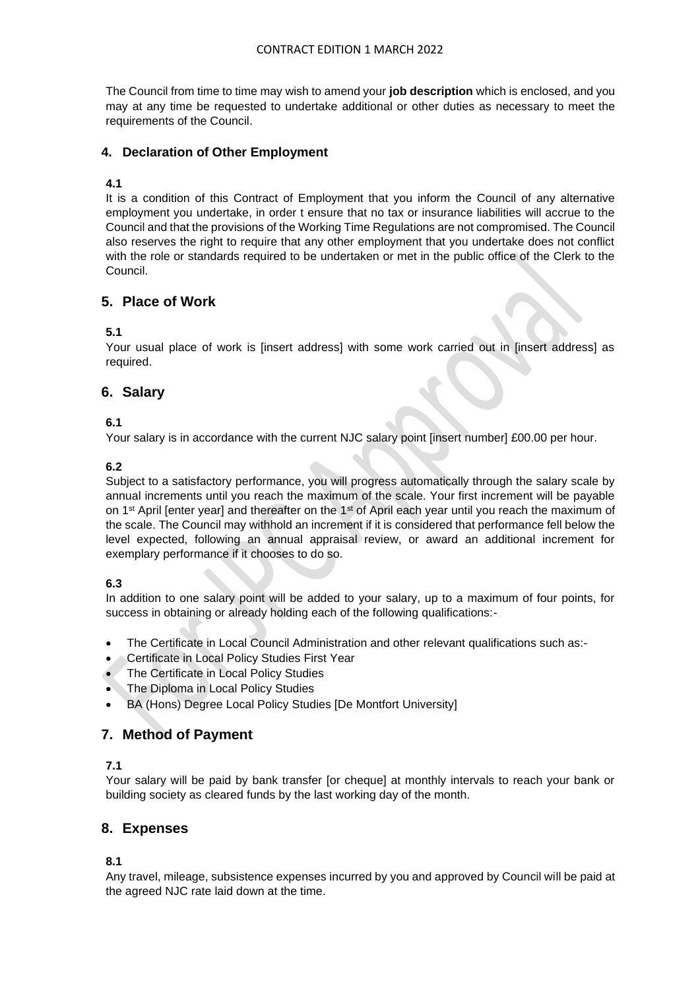The Council from time to time may wish to amend your **job description** which is enclosed, and you may at any time be requested to undertake additional or other duties as necessary to meet the requirements of the Council.

## **4. Declaration of Other Employment**

## **4.1**

It is a condition of this Contract of Employment that you inform the Council of any alternative employment you undertake, in order t ensure that no tax or insurance liabilities will accrue to the Council and that the provisions of the Working Time Regulations are not compromised. The Council also reserves the right to require that any other employment that you undertake does not conflict with the role or standards required to be undertaken or met in the public office of the Clerk to the Council.

## **5. Place of Work**

## **5.1**

Your usual place of work is [insert address] with some work carried out in [insert address] as required.

## **6. Salary**

## **6.1**

Your salary is in accordance with the current NJC salary point [insert number] £00.00 per hour.

## **6.2**

Subject to a satisfactory performance, you will progress automatically through the salary scale by annual increments until you reach the maximum of the scale. Your first increment will be payable on 1<sup>st</sup> April [enter year] and thereafter on the 1<sup>st</sup> of April each year until you reach the maximum of the scale. The Council may withhold an increment if it is considered that performance fell below the level expected, following an annual appraisal review, or award an additional increment for exemplary performance if it chooses to do so.

## **6.3**

In addition to one salary point will be added to your salary, up to a maximum of four points, for success in obtaining or already holding each of the following qualifications:-

- The Certificate in Local Council Administration and other relevant qualifications such as:-
- Certificate in Local Policy Studies First Year
- The Certificate in Local Policy Studies
- The Diploma in Local Policy Studies
- BA (Hons) Degree Local Policy Studies [De Montfort University]

## **7. Method of Payment**

## **7.1**

Your salary will be paid by bank transfer [or cheque] at monthly intervals to reach your bank or building society as cleared funds by the last working day of the month.

## **8. Expenses**

**8.1**

Any travel, mileage, subsistence expenses incurred by you and approved by Council will be paid at the agreed NJC rate laid down at the time.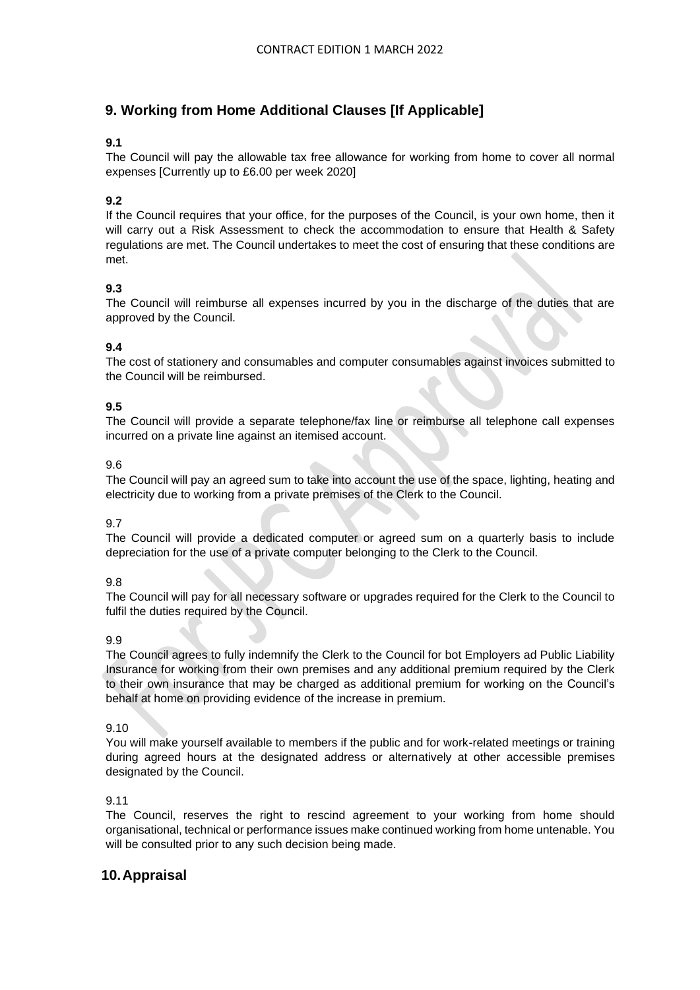# **9. Working from Home Additional Clauses [If Applicable]**

## **9.1**

The Council will pay the allowable tax free allowance for working from home to cover all normal expenses [Currently up to £6.00 per week 2020]

## **9.2**

If the Council requires that your office, for the purposes of the Council, is your own home, then it will carry out a Risk Assessment to check the accommodation to ensure that Health & Safety regulations are met. The Council undertakes to meet the cost of ensuring that these conditions are met.

## **9.3**

The Council will reimburse all expenses incurred by you in the discharge of the duties that are approved by the Council.

## **9.4**

The cost of stationery and consumables and computer consumables against invoices submitted to the Council will be reimbursed.

#### **9.5**

The Council will provide a separate telephone/fax line or reimburse all telephone call expenses incurred on a private line against an itemised account.

#### 9.6

The Council will pay an agreed sum to take into account the use of the space, lighting, heating and electricity due to working from a private premises of the Clerk to the Council.

#### 9.7

The Council will provide a dedicated computer or agreed sum on a quarterly basis to include depreciation for the use of a private computer belonging to the Clerk to the Council.

#### $Q$  $R$

The Council will pay for all necessary software or upgrades required for the Clerk to the Council to fulfil the duties required by the Council.

#### 9.9

The Council agrees to fully indemnify the Clerk to the Council for bot Employers ad Public Liability Insurance for working from their own premises and any additional premium required by the Clerk to their own insurance that may be charged as additional premium for working on the Council's behalf at home on providing evidence of the increase in premium.

#### 9.10

You will make yourself available to members if the public and for work-related meetings or training during agreed hours at the designated address or alternatively at other accessible premises designated by the Council.

#### 9.11

The Council, reserves the right to rescind agreement to your working from home should organisational, technical or performance issues make continued working from home untenable. You will be consulted prior to any such decision being made.

## **10.Appraisal**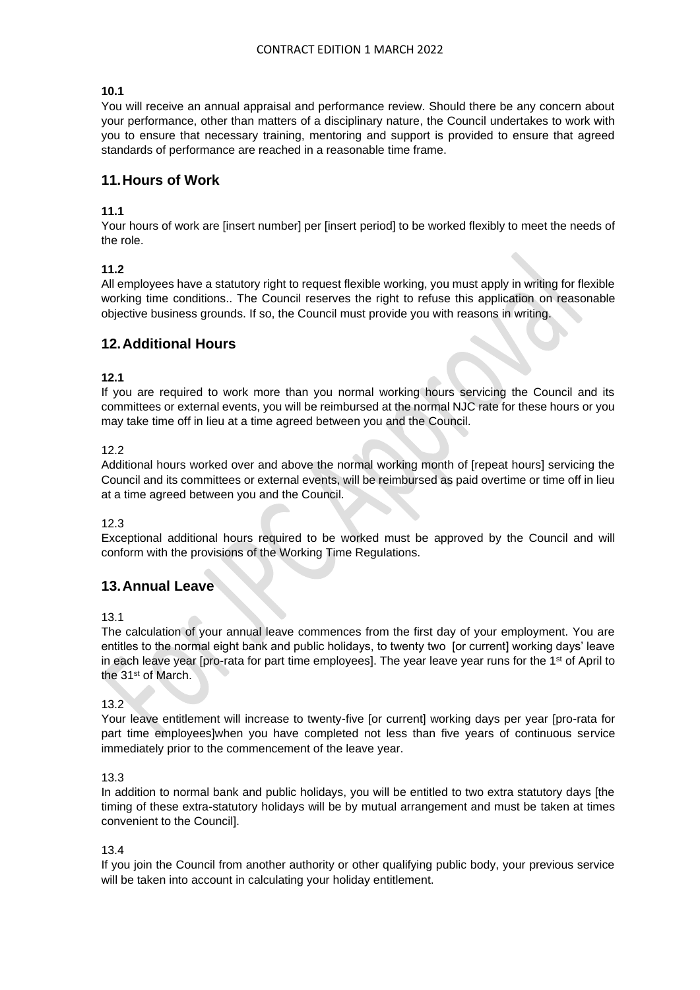#### **10.1**

You will receive an annual appraisal and performance review. Should there be any concern about your performance, other than matters of a disciplinary nature, the Council undertakes to work with you to ensure that necessary training, mentoring and support is provided to ensure that agreed standards of performance are reached in a reasonable time frame.

## **11.Hours of Work**

#### **11.1**

Your hours of work are [insert number] per [insert period] to be worked flexibly to meet the needs of the role.

#### **11.2**

All employees have a statutory right to request flexible working, you must apply in writing for flexible working time conditions.. The Council reserves the right to refuse this application on reasonable objective business grounds. If so, the Council must provide you with reasons in writing.

## **12.Additional Hours**

#### **12.1**

If you are required to work more than you normal working hours servicing the Council and its committees or external events, you will be reimbursed at the normal NJC rate for these hours or you may take time off in lieu at a time agreed between you and the Council.

#### 12.2

Additional hours worked over and above the normal working month of [repeat hours] servicing the Council and its committees or external events, will be reimbursed as paid overtime or time off in lieu at a time agreed between you and the Council.

#### 12.3

Exceptional additional hours required to be worked must be approved by the Council and will conform with the provisions of the Working Time Regulations.

# **13.Annual Leave**

13.1

The calculation of your annual leave commences from the first day of your employment. You are entitles to the normal eight bank and public holidays, to twenty two [or current] working days' leave in each leave year [pro-rata for part time employees]. The year leave year runs for the  $1<sup>st</sup>$  of April to the 31st of March.

13.2

Your leave entitlement will increase to twenty-five [or current] working days per year [pro-rata for part time employees]when you have completed not less than five years of continuous service immediately prior to the commencement of the leave year.

#### 13.3

In addition to normal bank and public holidays, you will be entitled to two extra statutory days [the timing of these extra-statutory holidays will be by mutual arrangement and must be taken at times convenient to the Council].

#### 13.4

If you join the Council from another authority or other qualifying public body, your previous service will be taken into account in calculating your holiday entitlement.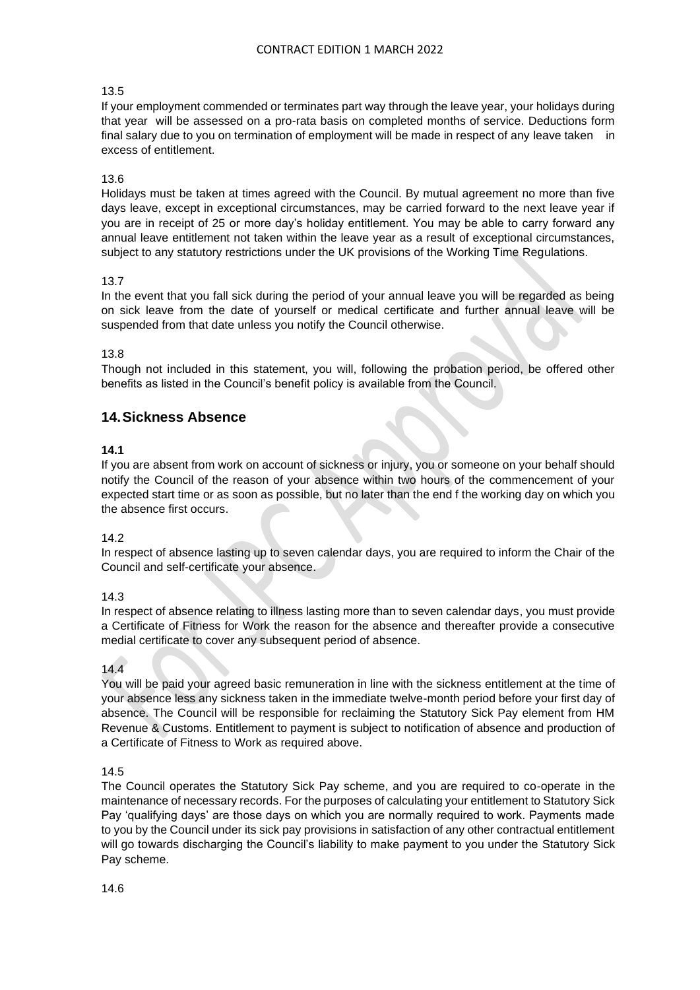#### 13.5

If your employment commended or terminates part way through the leave year, your holidays during that year will be assessed on a pro-rata basis on completed months of service. Deductions form final salary due to you on termination of employment will be made in respect of any leave taken in excess of entitlement.

#### 13.6

Holidays must be taken at times agreed with the Council. By mutual agreement no more than five days leave, except in exceptional circumstances, may be carried forward to the next leave year if you are in receipt of 25 or more day's holiday entitlement. You may be able to carry forward any annual leave entitlement not taken within the leave year as a result of exceptional circumstances, subject to any statutory restrictions under the UK provisions of the Working Time Regulations.

#### 13.7

In the event that you fall sick during the period of your annual leave you will be regarded as being on sick leave from the date of yourself or medical certificate and further annual leave will be suspended from that date unless you notify the Council otherwise.

#### 13.8

Though not included in this statement, you will, following the probation period, be offered other benefits as listed in the Council's benefit policy is available from the Council.

## **14.Sickness Absence**

#### **14.1**

If you are absent from work on account of sickness or injury, you or someone on your behalf should notify the Council of the reason of your absence within two hours of the commencement of your expected start time or as soon as possible, but no later than the end f the working day on which you the absence first occurs.

#### 14.2

In respect of absence lasting up to seven calendar days, you are required to inform the Chair of the Council and self-certificate your absence.

#### 14.3

In respect of absence relating to illness lasting more than to seven calendar days, you must provide a Certificate of Fitness for Work the reason for the absence and thereafter provide a consecutive medial certificate to cover any subsequent period of absence.

#### 14.4

You will be paid your agreed basic remuneration in line with the sickness entitlement at the time of your absence less any sickness taken in the immediate twelve-month period before your first day of absence. The Council will be responsible for reclaiming the Statutory Sick Pay element from HM Revenue & Customs. Entitlement to payment is subject to notification of absence and production of a Certificate of Fitness to Work as required above.

#### 14.5

The Council operates the Statutory Sick Pay scheme, and you are required to co-operate in the maintenance of necessary records. For the purposes of calculating your entitlement to Statutory Sick Pay 'qualifying days' are those days on which you are normally required to work. Payments made to you by the Council under its sick pay provisions in satisfaction of any other contractual entitlement will go towards discharging the Council's liability to make payment to you under the Statutory Sick Pay scheme.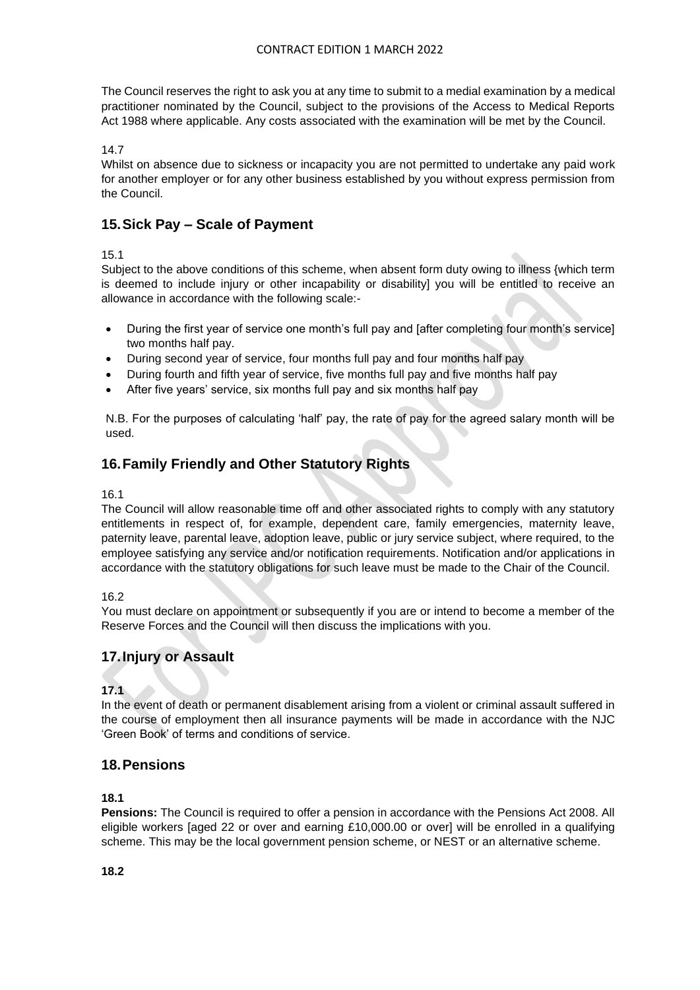The Council reserves the right to ask you at any time to submit to a medial examination by a medical practitioner nominated by the Council, subject to the provisions of the Access to Medical Reports Act 1988 where applicable. Any costs associated with the examination will be met by the Council.

## 14.7

Whilst on absence due to sickness or incapacity you are not permitted to undertake any paid work for another employer or for any other business established by you without express permission from the Council.

# **15.Sick Pay – Scale of Payment**

## 15.1

Subject to the above conditions of this scheme, when absent form duty owing to illness {which term is deemed to include injury or other incapability or disability] you will be entitled to receive an allowance in accordance with the following scale:-

- During the first year of service one month's full pay and [after completing four month's service] two months half pay.
- During second year of service, four months full pay and four months half pay
- During fourth and fifth year of service, five months full pay and five months half pay
- After five years' service, six months full pay and six months half pay

N.B. For the purposes of calculating 'half' pay, the rate of pay for the agreed salary month will be used.

# **16.Family Friendly and Other Statutory Rights**

## 16.1

The Council will allow reasonable time off and other associated rights to comply with any statutory entitlements in respect of, for example, dependent care, family emergencies, maternity leave, paternity leave, parental leave, adoption leave, public or jury service subject, where required, to the employee satisfying any service and/or notification requirements. Notification and/or applications in accordance with the statutory obligations for such leave must be made to the Chair of the Council.

16.2

You must declare on appointment or subsequently if you are or intend to become a member of the Reserve Forces and the Council will then discuss the implications with you.

# **17.Injury or Assault**

## **17.1**

In the event of death or permanent disablement arising from a violent or criminal assault suffered in the course of employment then all insurance payments will be made in accordance with the NJC 'Green Book' of terms and conditions of service.

# **18.Pensions**

## **18.1**

**Pensions:** The Council is required to offer a pension in accordance with the Pensions Act 2008. All eligible workers [aged 22 or over and earning £10,000.00 or over] will be enrolled in a qualifying scheme. This may be the local government pension scheme, or NEST or an alternative scheme.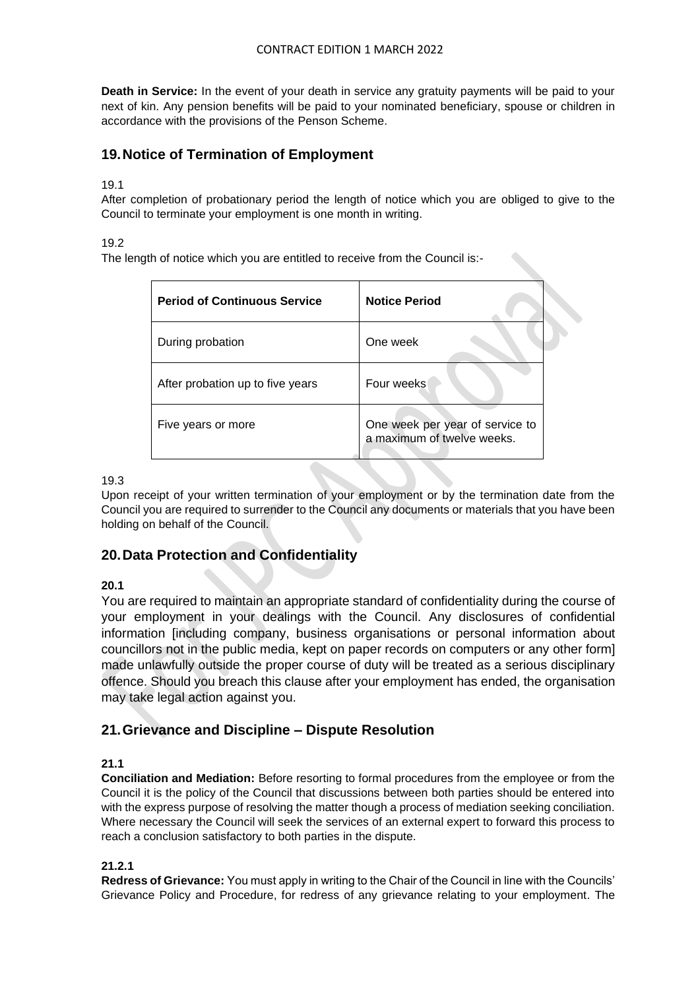#### CONTRACT EDITION 1 MARCH 2022

**Death in Service:** In the event of your death in service any gratuity payments will be paid to your next of kin. Any pension benefits will be paid to your nominated beneficiary, spouse or children in accordance with the provisions of the Penson Scheme.

# **19.Notice of Termination of Employment**

#### 19.1

After completion of probationary period the length of notice which you are obliged to give to the Council to terminate your employment is one month in writing.

#### 19.2

The length of notice which you are entitled to receive from the Council is:-

| <b>Period of Continuous Service</b> | <b>Notice Period</b>                                          |
|-------------------------------------|---------------------------------------------------------------|
| During probation                    | One week                                                      |
| After probation up to five years    | Four weeks                                                    |
| Five years or more                  | One week per year of service to<br>a maximum of twelve weeks. |

#### 19.3

Upon receipt of your written termination of your employment or by the termination date from the Council you are required to surrender to the Council any documents or materials that you have been holding on behalf of the Council.

## **20.Data Protection and Confidentiality**

## **20.1**

You are required to maintain an appropriate standard of confidentiality during the course of your employment in your dealings with the Council. Any disclosures of confidential information [including company, business organisations or personal information about councillors not in the public media, kept on paper records on computers or any other form] made unlawfully outside the proper course of duty will be treated as a serious disciplinary offence. Should you breach this clause after your employment has ended, the organisation may take legal action against you.

# **21.Grievance and Discipline – Dispute Resolution**

## **21.1**

**Conciliation and Mediation:** Before resorting to formal procedures from the employee or from the Council it is the policy of the Council that discussions between both parties should be entered into with the express purpose of resolving the matter though a process of mediation seeking conciliation. Where necessary the Council will seek the services of an external expert to forward this process to reach a conclusion satisfactory to both parties in the dispute.

## **21.2.1**

**Redress of Grievance:** You must apply in writing to the Chair of the Council in line with the Councils' Grievance Policy and Procedure, for redress of any grievance relating to your employment. The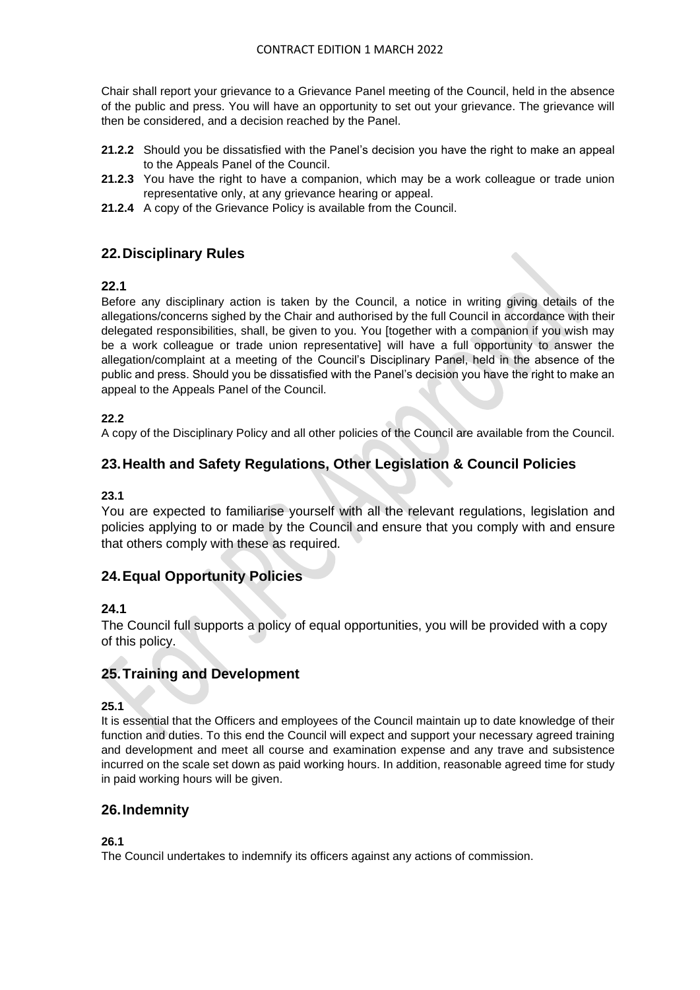Chair shall report your grievance to a Grievance Panel meeting of the Council, held in the absence of the public and press. You will have an opportunity to set out your grievance. The grievance will then be considered, and a decision reached by the Panel.

- **21.2.2** Should you be dissatisfied with the Panel's decision you have the right to make an appeal to the Appeals Panel of the Council.
- **21.2.3** You have the right to have a companion, which may be a work colleague or trade union representative only, at any grievance hearing or appeal.
- **21.2.4** A copy of the Grievance Policy is available from the Council.

# **22.Disciplinary Rules**

## **22.1**

Before any disciplinary action is taken by the Council, a notice in writing giving details of the allegations/concerns sighed by the Chair and authorised by the full Council in accordance with their delegated responsibilities, shall, be given to you. You [together with a companion if you wish may be a work colleague or trade union representative] will have a full opportunity to answer the allegation/complaint at a meeting of the Council's Disciplinary Panel, held in the absence of the public and press. Should you be dissatisfied with the Panel's decision you have the right to make an appeal to the Appeals Panel of the Council.

## **22.2**

A copy of the Disciplinary Policy and all other policies of the Council are available from the Council.

# **23.Health and Safety Regulations, Other Legislation & Council Policies**

## **23.1**

You are expected to familiarise yourself with all the relevant regulations, legislation and policies applying to or made by the Council and ensure that you comply with and ensure that others comply with these as required.

# **24.Equal Opportunity Policies**

## **24.1**

The Council full supports a policy of equal opportunities, you will be provided with a copy of this policy.

# **25.Training and Development**

## **25.1**

It is essential that the Officers and employees of the Council maintain up to date knowledge of their function and duties. To this end the Council will expect and support your necessary agreed training and development and meet all course and examination expense and any trave and subsistence incurred on the scale set down as paid working hours. In addition, reasonable agreed time for study in paid working hours will be given.

## **26.Indemnity**

## **26.1**

The Council undertakes to indemnify its officers against any actions of commission.